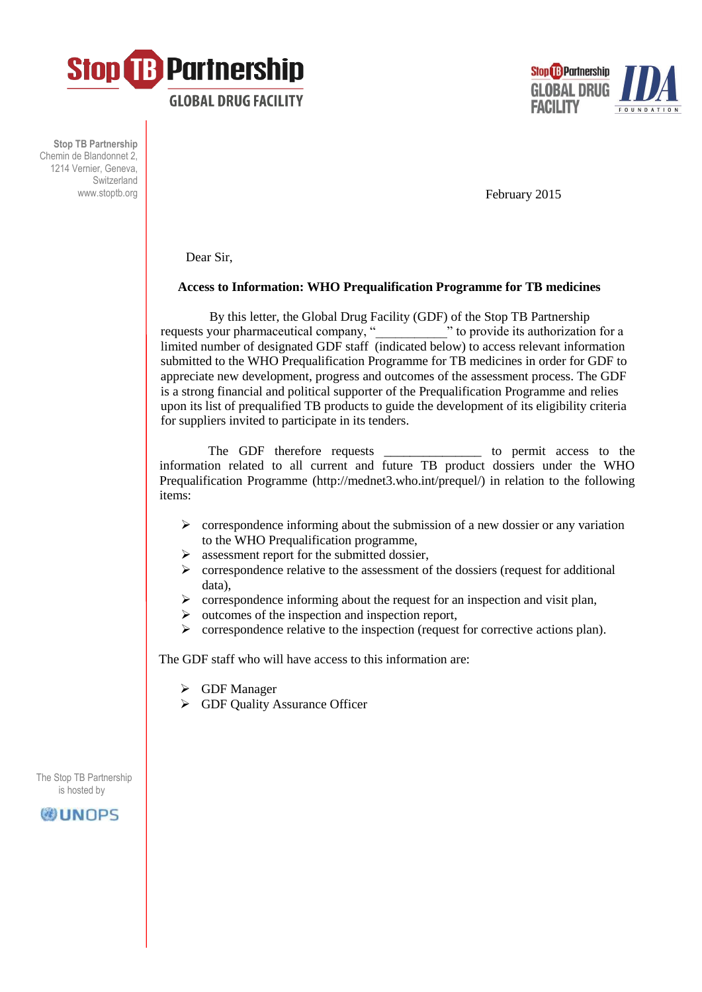



**Stop TB Partnership** Chemin de Blandonnet 2, 1214 Vernier, Geneva, Switzerland www.stoptb.org

February 2015

Dear Sir,

## **Access to Information: WHO Prequalification Programme for TB medicines**

 By this letter, the Global Drug Facility (GDF) of the Stop TB Partnership requests your pharmaceutical company, "  $\blacksquare$  " to provide its authorization for a limited number of designated GDF staff (indicated below) to access relevant information submitted to the WHO Prequalification Programme for TB medicines in order for GDF to appreciate new development, progress and outcomes of the assessment process. The GDF is a strong financial and political supporter of the Prequalification Programme and relies upon its list of prequalified TB products to guide the development of its eligibility criteria for suppliers invited to participate in its tenders.

The GDF therefore requests \_\_\_\_\_\_\_\_\_\_\_\_\_\_\_\_\_\_ to permit access to the information related to all current and future TB product dossiers under the WHO Prequalification Programme (http://mednet3.who.int/prequel/) in relation to the following items:

- $\triangleright$  correspondence informing about the submission of a new dossier or any variation to the WHO Prequalification programme,
- $\triangleright$  assessment report for the submitted dossier.
- $\triangleright$  correspondence relative to the assessment of the dossiers (request for additional data),
- $\triangleright$  correspondence informing about the request for an inspection and visit plan,
- $\triangleright$  outcomes of the inspection and inspection report,
- $\triangleright$  correspondence relative to the inspection (request for corrective actions plan).

The GDF staff who will have access to this information are:

- GDF Manager
- GDF Quality Assurance Officer

 The Stop TB Partnership is hosted by